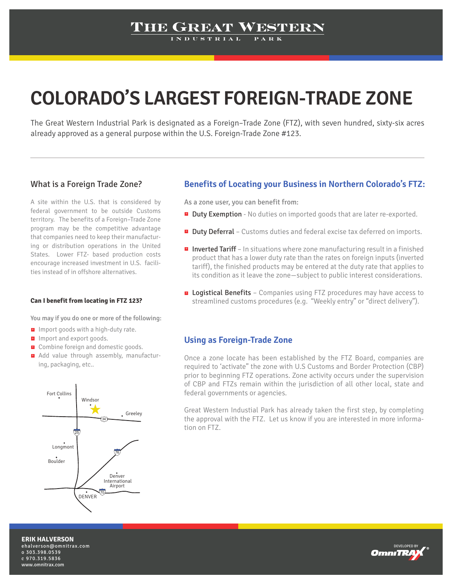## THE GREAT WESTERN

# **COLORADO'S LARGEST FOREIGN-TRADE ZONE**

The Great Western Industrial Park is designated as a Foreign–Trade Zone (FTZ), with seven hundred, sixty-six acres already approved as a general purpose within the U.S. Foreign-Trade Zone #123.

### What is a Foreign Trade Zone?

A site within the U.S. that is considered by federal government to be outside Customs territory. The benefits of a Foreign–Trade Zone program may be the competitive advantage that companies need to keep their manufacturing or distribution operations in the United States. Lower FTZ- based production costs encourage increased investment in U.S. facilities instead of in offshore alternatives.

#### **Can I benefit from locating in FTZ 123?**

You may if you do one or more of the following:

- $\blacksquare$  Import goods with a high-duty rate.
- Import and export goods.
- **E** Combine foreign and domestic goods.
- Add value through assembly, manufactur-+ ing, packaging, etc..



### **Benefits of Locating your Business in Northern Colorado's FTZ:**

As a zone user, you can benefit from:

- **Duty Exemption** No duties on imported goods that are later re-exported.
- **Duty Deferral** Customs duties and federal excise tax deferred on imports.
- **Inverted Tariff** In situations where zone manufacturing result in a finished product that has a lower duty rate than the rates on foreign inputs (inverted tariff), the finished products may be entered at the duty rate that applies to its condition as it leave the zone—subject to public interest considerations.
- **E** Logistical Benefits Companies using FTZ procedures may have access to streamlined customs procedures (e.g. "Weekly entry" or "direct delivery").

#### **Using as Foreign-Trade Zone**

Once a zone locate has been established by the FTZ Board, companies are required to 'activate" the zone with U.S Customs and Border Protection (CBP) prior to beginning FTZ operations. Zone activity occurs under the supervision of CBP and FTZs remain within the jurisdiction of all other local, state and federal governments or agencies.

Great Western Industial Park has already taken the first step, by completing the approval with the FTZ. Let us know if you are interested in more information on FTZ.

**ERIK HALVERSON** ehalverson@omnitrax.com o 303.398.0539 c 970.319.5836 www.omnitrax.com

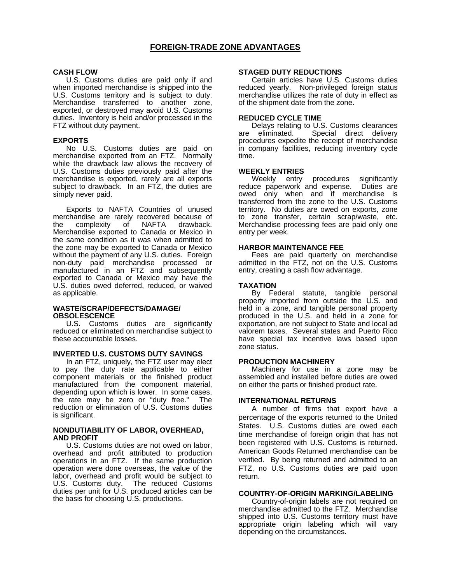#### **CASH FLOW**

 U.S. Customs duties are paid only if and when imported merchandise is shipped into the U.S. Customs territory and is subject to duty. Merchandise transferred to another zone, exported, or destroyed may avoid U.S. Customs duties. Inventory is held and/or processed in the FTZ without duty payment.

#### **EXPORTS**

No U.S. Customs duties are paid on merchandise exported from an FTZ. Normally while the drawback law allows the recovery of U.S. Customs duties previously paid after the merchandise is exported, rarely are all exports subject to drawback. In an FTZ, the duties are simply never paid.

Exports to NAFTA Countries of unused merchandise are rarely recovered because of<br>the complexity of NAFTA drawback. the complexity of NAFTA drawback. Merchandise exported to Canada or Mexico in the same condition as it was when admitted to the zone may be exported to Canada or Mexico without the payment of any U.S. duties. Foreign non-duty paid merchandise processed or manufactured in an FTZ and subsequently exported to Canada or Mexico may have the U.S. duties owed deferred, reduced, or waived as applicable.

#### **WASTE/SCRAP/DEFECTS/DAMAGE/ OBSOLESCENCE**

U.S. Customs duties are significantly reduced or eliminated on merchandise subject to these accountable losses.

#### **INVERTED U.S. CUSTOMS DUTY SAVINGS**

In an FTZ, uniquely, the FTZ user may elect to pay the duty rate applicable to either component materials or the finished product manufactured from the component material, depending upon which is lower. In some cases, the rate may be zero or "duty free." The reduction or elimination of U.S. Customs duties is significant.

#### **NONDUTIABILITY OF LABOR, OVERHEAD, AND PROFIT**

U.S. Customs duties are not owed on labor, overhead and profit attributed to production operations in an FTZ. If the same production operation were done overseas, the value of the labor, overhead and profit would be subject to U.S. Customs duty. The reduced Customs duties per unit for U.S. produced articles can be the basis for choosing U.S. productions.

#### **STAGED DUTY REDUCTIONS**

Certain articles have U.S. Customs duties reduced yearly. Non-privileged foreign status merchandise utilizes the rate of duty in effect as of the shipment date from the zone.

#### **REDUCED CYCLE TIME**

Delays relating to U.S. Customs clearances are eliminated. Special direct delivery procedures expedite the receipt of merchandise in company facilities, reducing inventory cycle time.

#### **WEEKLY ENTRIES**

Weekly entry procedures significantly reduce paperwork and expense. Duties are owed only when and if merchandise is transferred from the zone to the U.S. Customs territory. No duties are owed on exports, zone to zone transfer, certain scrap/waste, etc. Merchandise processing fees are paid only one entry per week.

#### **HARBOR MAINTENANCE FEE**

Fees are paid quarterly on merchandise admitted in the FTZ, not on the U.S. Customs entry, creating a cash flow advantage.

#### **TAXATION**

By Federal statute, tangible personal property imported from outside the U.S. and held in a zone, and tangible personal property produced in the U.S. and held in a zone for exportation, are not subject to State and local ad valorem taxes. Several states and Puerto Rico have special tax incentive laws based upon zone status.

#### **PRODUCTION MACHINERY**

Machinery for use in a zone may be assembled and installed before duties are owed on either the parts or finished product rate.

#### **INTERNATIONAL RETURNS**

A number of firms that export have a percentage of the exports returned to the United States. U.S. Customs duties are owed each time merchandise of foreign origin that has not been registered with U.S. Customs is returned. American Goods Returned merchandise can be verified. By being returned and admitted to an FTZ, no U.S. Customs duties are paid upon return.

#### **COUNTRY-OF-ORIGIN MARKING/LABELING**

Country-of-origin labels are not required on merchandise admitted to the FTZ. Merchandise shipped into U.S. Customs territory must have appropriate origin labeling which will vary depending on the circumstances.